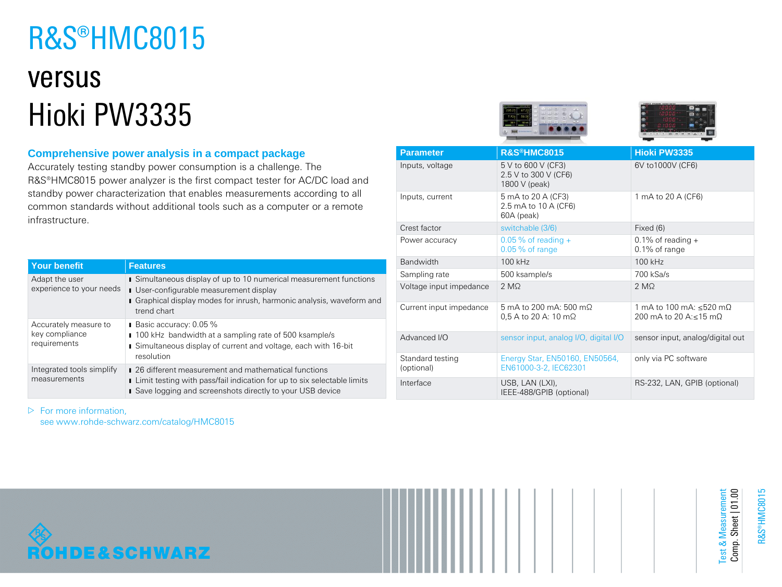# R&S®HMC8015

## versus Hioki PW3335

## **Comprehensive power analysis in a compact package**

Accurately testing standby power consumption is a challenge. The R&S®HMC8015 power analyzer is the first compact tester for AC/DC load and standby power characterization that enables measurements according to all common standards without additional tools such as a computer or a remote infrastructure.

| <b>Your benefit</b>                                     | <b>Features</b>                                                                                                                                                                                          |
|---------------------------------------------------------|----------------------------------------------------------------------------------------------------------------------------------------------------------------------------------------------------------|
| Adapt the user<br>experience to your needs              | Simultaneous display of up to 10 numerical measurement functions<br><b>I</b> User-configurable measurement display<br>Graphical display modes for inrush, harmonic analysis, waveform and<br>trend chart |
| Accurately measure to<br>key compliance<br>requirements | Basic accuracy: 0.05 %<br>100 kHz bandwidth at a sampling rate of 500 ksample/s<br>Simultaneous display of current and voltage, each with 16-bit<br>resolution                                           |
| Integrated tools simplify<br>measurements               | ■ 26 different measurement and mathematical functions<br>Limit testing with pass/fail indication for up to six selectable limits<br>Save logging and screenshots directly to your USB device             |

|  | <b>Parameter</b>               | R&S®HMC8015                                                 | <b>Hioki PW3335</b>                              |
|--|--------------------------------|-------------------------------------------------------------|--------------------------------------------------|
|  | Inputs, voltage                | 5 V to 600 V (CF3)<br>2.5 V to 300 V (CF6)<br>1800 V (peak) | 6V to1000V (CF6)                                 |
|  | Inputs, current                | 5 mA to 20 A (CF3)<br>2.5 mA to 10 A (CF6)<br>60A (peak)    | 1 mA to 20 A (CF6)                               |
|  | Crest factor                   | switchable (3/6)                                            | Fixed (6)                                        |
|  | Power accuracy                 | $0.05\%$ of reading +<br>$0.05%$ of range                   | 0.1% of reading $+$<br>$0.1\%$ of range          |
|  | <b>Bandwidth</b>               | 100 kHz                                                     | 100 kHz                                          |
|  | Sampling rate                  | 500 ksample/s                                               | 700 kSa/s                                        |
|  | Voltage input impedance        | 2 MQ                                                        | 2 MQ                                             |
|  | Current input impedance        | 5 mA to 200 mA: 500 mQ<br>$0.5$ A to 20 A: 10 m $\Omega$    | 1 mA to 100 mA: <520 mO<br>200 mA to 20 A:<15 mO |
|  | Advanced I/O                   | sensor input, analog I/O, digital I/O                       | sensor input, analog/digital out                 |
|  | Standard testing<br>(optional) | Energy Star, EN50160, EN50564,<br>EN61000-3-2, IEC62301     | only via PC software                             |
|  | Interface                      | USB, LAN (LXI),<br>IEEE-488/GPIB (optional)                 | RS-232, LAN, GPIB (optional)                     |

 $\triangleright$  For more information,

see www.rohde-schwarz.com/catalog/HMC8015



R&S®HMC8015

Test & Measurement Comp. Sheet | 01.00

Test & Measurement<br>Comp. Sheet | 01.00